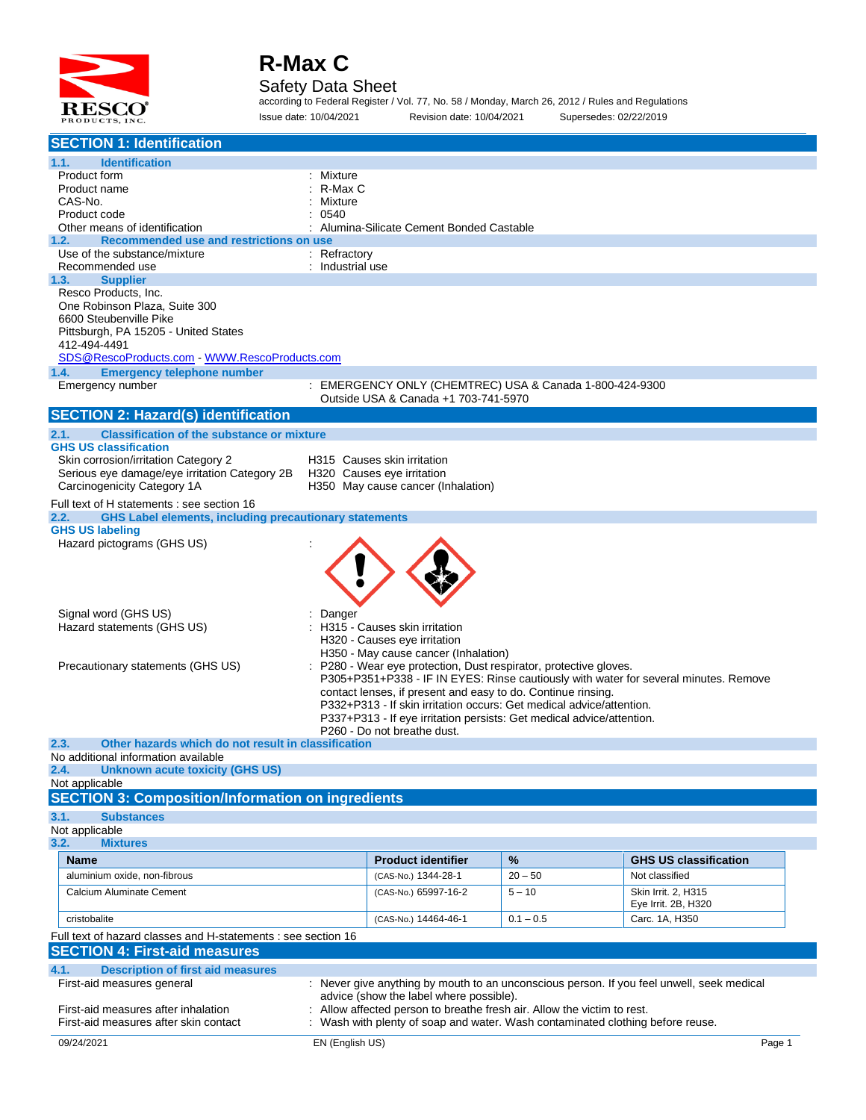

#### Safety Data Sheet

according to Federal Register / Vol. 77, No. 58 / Monday, March 26, 2012 / Rules and Regulations Issue date: 10/04/2021 Revision date: 10/04/2021 Supersedes: 02/22/2019

| <b>SECTION 1: Identification</b>                                                                                    |                                         |                                                                                                                                      |             |                                                                                           |  |  |  |  |
|---------------------------------------------------------------------------------------------------------------------|-----------------------------------------|--------------------------------------------------------------------------------------------------------------------------------------|-------------|-------------------------------------------------------------------------------------------|--|--|--|--|
| 1.1.<br><b>Identification</b>                                                                                       |                                         |                                                                                                                                      |             |                                                                                           |  |  |  |  |
| Product form                                                                                                        | Mixture                                 |                                                                                                                                      |             |                                                                                           |  |  |  |  |
| Product name                                                                                                        | R-Max C                                 |                                                                                                                                      |             |                                                                                           |  |  |  |  |
| CAS-No.                                                                                                             | Mixture                                 | Alumina-Silicate Cement Bonded Castable                                                                                              |             |                                                                                           |  |  |  |  |
| Product code<br>Other means of identification                                                                       | 0540                                    |                                                                                                                                      |             |                                                                                           |  |  |  |  |
| 1.2.                                                                                                                | Recommended use and restrictions on use |                                                                                                                                      |             |                                                                                           |  |  |  |  |
| Use of the substance/mixture                                                                                        | : Refractory                            |                                                                                                                                      |             |                                                                                           |  |  |  |  |
| Recommended use                                                                                                     | : Industrial use                        |                                                                                                                                      |             |                                                                                           |  |  |  |  |
| 1.3.<br><b>Supplier</b>                                                                                             |                                         |                                                                                                                                      |             |                                                                                           |  |  |  |  |
| Resco Products, Inc.                                                                                                |                                         |                                                                                                                                      |             |                                                                                           |  |  |  |  |
| One Robinson Plaza, Suite 300                                                                                       |                                         |                                                                                                                                      |             |                                                                                           |  |  |  |  |
| 6600 Steubenville Pike                                                                                              |                                         |                                                                                                                                      |             |                                                                                           |  |  |  |  |
| Pittsburgh, PA 15205 - United States<br>412-494-4491                                                                |                                         |                                                                                                                                      |             |                                                                                           |  |  |  |  |
| SDS@RescoProducts.com WWW.RescoProducts.com                                                                         |                                         |                                                                                                                                      |             |                                                                                           |  |  |  |  |
| 1.4.<br><b>Emergency telephone number</b>                                                                           |                                         |                                                                                                                                      |             |                                                                                           |  |  |  |  |
| Emergency number                                                                                                    | ÷                                       | EMERGENCY ONLY (CHEMTREC) USA & Canada 1-800-424-9300                                                                                |             |                                                                                           |  |  |  |  |
|                                                                                                                     |                                         | Outside USA & Canada +1 703-741-5970                                                                                                 |             |                                                                                           |  |  |  |  |
| <b>SECTION 2: Hazard(s) identification</b>                                                                          |                                         |                                                                                                                                      |             |                                                                                           |  |  |  |  |
| 2.1.<br><b>Classification of the substance or mixture</b>                                                           |                                         |                                                                                                                                      |             |                                                                                           |  |  |  |  |
| <b>GHS US classification</b>                                                                                        |                                         |                                                                                                                                      |             |                                                                                           |  |  |  |  |
| Skin corrosion/irritation Category 2                                                                                |                                         | H315 Causes skin irritation<br>H320 Causes eye irritation<br>H350 May cause cancer (Inhalation)                                      |             |                                                                                           |  |  |  |  |
| Serious eye damage/eye irritation Category 2B<br>Carcinogenicity Category 1A                                        |                                         |                                                                                                                                      |             |                                                                                           |  |  |  |  |
|                                                                                                                     |                                         |                                                                                                                                      |             |                                                                                           |  |  |  |  |
| Full text of H statements : see section 16<br><b>GHS Label elements, including precautionary statements</b><br>2.2. |                                         |                                                                                                                                      |             |                                                                                           |  |  |  |  |
| <b>GHS US labeling</b>                                                                                              |                                         |                                                                                                                                      |             |                                                                                           |  |  |  |  |
| Hazard pictograms (GHS US)                                                                                          |                                         |                                                                                                                                      |             |                                                                                           |  |  |  |  |
|                                                                                                                     |                                         |                                                                                                                                      |             |                                                                                           |  |  |  |  |
|                                                                                                                     |                                         |                                                                                                                                      |             |                                                                                           |  |  |  |  |
|                                                                                                                     |                                         |                                                                                                                                      |             |                                                                                           |  |  |  |  |
|                                                                                                                     |                                         |                                                                                                                                      |             |                                                                                           |  |  |  |  |
| Signal word (GHS US)                                                                                                | Danger                                  |                                                                                                                                      |             |                                                                                           |  |  |  |  |
| Hazard statements (GHS US)                                                                                          |                                         | H315 - Causes skin irritation                                                                                                        |             |                                                                                           |  |  |  |  |
|                                                                                                                     |                                         | H320 - Causes eye irritation                                                                                                         |             |                                                                                           |  |  |  |  |
|                                                                                                                     |                                         | H350 - May cause cancer (Inhalation)                                                                                                 |             |                                                                                           |  |  |  |  |
| Precautionary statements (GHS US)                                                                                   |                                         | P280 - Wear eye protection, Dust respirator, protective gloves.                                                                      |             |                                                                                           |  |  |  |  |
|                                                                                                                     |                                         |                                                                                                                                      |             | P305+P351+P338 - IF IN EYES: Rinse cautiously with water for several minutes. Remove      |  |  |  |  |
|                                                                                                                     |                                         | contact lenses, if present and easy to do. Continue rinsing.<br>P332+P313 - If skin irritation occurs: Get medical advice/attention. |             |                                                                                           |  |  |  |  |
|                                                                                                                     |                                         | P337+P313 - If eye irritation persists: Get medical advice/attention.                                                                |             |                                                                                           |  |  |  |  |
|                                                                                                                     |                                         | P260 - Do not breathe dust.                                                                                                          |             |                                                                                           |  |  |  |  |
| 2.3.<br>Other hazards which do not result in classification                                                         |                                         |                                                                                                                                      |             |                                                                                           |  |  |  |  |
| No additional information available                                                                                 |                                         |                                                                                                                                      |             |                                                                                           |  |  |  |  |
| <b>Unknown acute toxicity (GHS US)</b><br>2.4.                                                                      |                                         |                                                                                                                                      |             |                                                                                           |  |  |  |  |
| Not applicable<br><b>SECTION 3: Composition/Information on ingredients</b>                                          |                                         |                                                                                                                                      |             |                                                                                           |  |  |  |  |
|                                                                                                                     |                                         |                                                                                                                                      |             |                                                                                           |  |  |  |  |
| 3.1.<br><b>Substances</b>                                                                                           |                                         |                                                                                                                                      |             |                                                                                           |  |  |  |  |
| Not applicable<br>3.2.<br><b>Mixtures</b>                                                                           |                                         |                                                                                                                                      |             |                                                                                           |  |  |  |  |
|                                                                                                                     |                                         |                                                                                                                                      |             |                                                                                           |  |  |  |  |
| <b>Name</b>                                                                                                         |                                         | <b>Product identifier</b>                                                                                                            | %           | <b>GHS US classification</b>                                                              |  |  |  |  |
| aluminium oxide, non-fibrous                                                                                        |                                         | (CAS-No.) 1344-28-1                                                                                                                  | $20 - 50$   | Not classified                                                                            |  |  |  |  |
| Calcium Aluminate Cement                                                                                            |                                         | (CAS-No.) 65997-16-2                                                                                                                 | $5 - 10$    | Skin Irrit. 2, H315<br>Eye Irrit. 2B, H320                                                |  |  |  |  |
| cristobalite                                                                                                        |                                         | (CAS-No.) 14464-46-1                                                                                                                 | $0.1 - 0.5$ | Carc. 1A, H350                                                                            |  |  |  |  |
| Full text of hazard classes and H-statements : see section 16                                                       |                                         |                                                                                                                                      |             |                                                                                           |  |  |  |  |
| <b>SECTION 4: First-aid measures</b>                                                                                |                                         |                                                                                                                                      |             |                                                                                           |  |  |  |  |
|                                                                                                                     |                                         |                                                                                                                                      |             |                                                                                           |  |  |  |  |
| 4.1.<br><b>Description of first aid measures</b>                                                                    |                                         |                                                                                                                                      |             |                                                                                           |  |  |  |  |
| First-aid measures general                                                                                          |                                         | advice (show the label where possible).                                                                                              |             | : Never give anything by mouth to an unconscious person. If you feel unwell, seek medical |  |  |  |  |
| First-aid measures after inhalation                                                                                 |                                         | Allow affected person to breathe fresh air. Allow the victim to rest.                                                                |             |                                                                                           |  |  |  |  |
| First-aid measures after skin contact                                                                               |                                         | Wash with plenty of soap and water. Wash contaminated clothing before reuse.                                                         |             |                                                                                           |  |  |  |  |
| 09/24/2021                                                                                                          | EN (English US)                         |                                                                                                                                      |             | Page 1                                                                                    |  |  |  |  |
|                                                                                                                     |                                         |                                                                                                                                      |             |                                                                                           |  |  |  |  |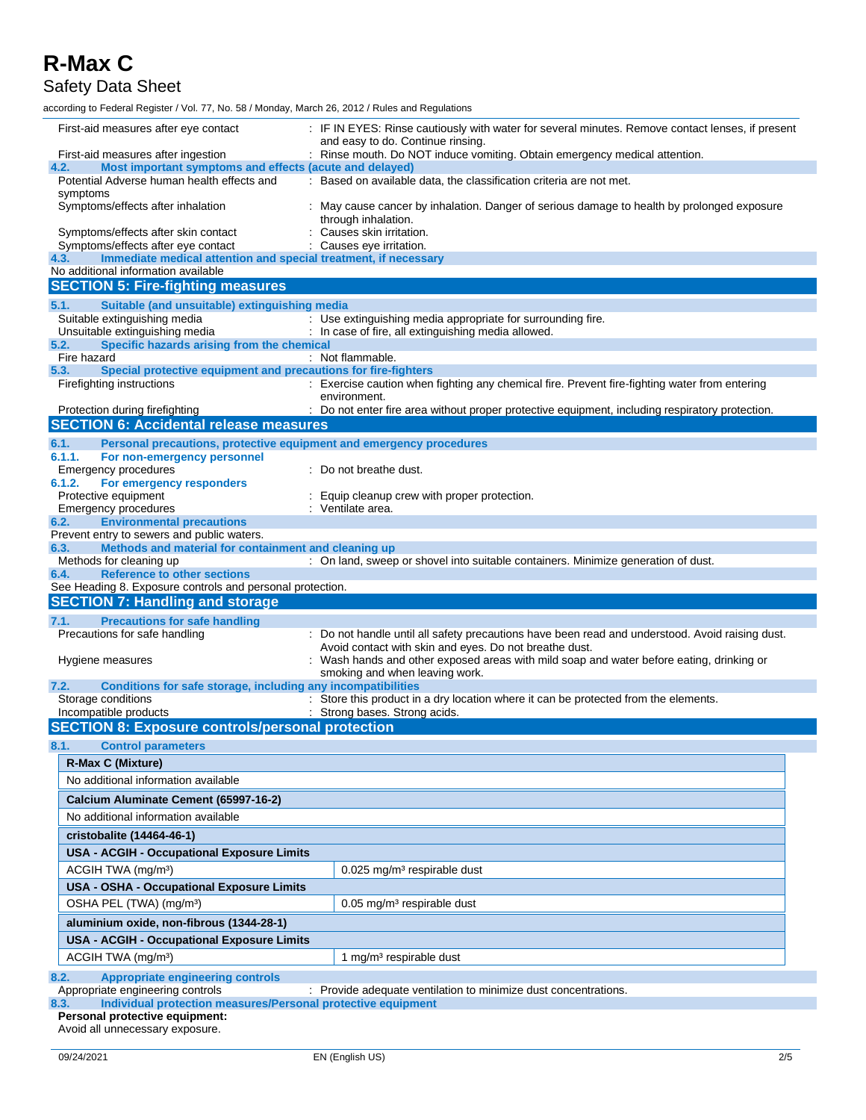#### Safety Data Sheet

according to Federal Register / Vol. 77, No. 58 / Monday, March 26, 2012 / Rules and Regulations

| First-aid measures after eye contact                                                                                                                  | : IF IN EYES: Rinse cautiously with water for several minutes. Remove contact lenses, if present                         |  |  |  |  |
|-------------------------------------------------------------------------------------------------------------------------------------------------------|--------------------------------------------------------------------------------------------------------------------------|--|--|--|--|
| and easy to do. Continue rinsing.<br>: Rinse mouth. Do NOT induce vomiting. Obtain emergency medical attention.<br>First-aid measures after ingestion |                                                                                                                          |  |  |  |  |
| Most important symptoms and effects (acute and delayed)<br>4.2.                                                                                       |                                                                                                                          |  |  |  |  |
| Potential Adverse human health effects and                                                                                                            | : Based on available data, the classification criteria are not met.                                                      |  |  |  |  |
| symptoms<br>Symptoms/effects after inhalation                                                                                                         | : May cause cancer by inhalation. Danger of serious damage to health by prolonged exposure                               |  |  |  |  |
|                                                                                                                                                       | through inhalation.                                                                                                      |  |  |  |  |
| Causes skin irritation.<br>Symptoms/effects after skin contact                                                                                        |                                                                                                                          |  |  |  |  |
| Symptoms/effects after eye contact                                                                                                                    | Causes eye irritation.                                                                                                   |  |  |  |  |
| Immediate medical attention and special treatment, if necessary<br>4.3.<br>No additional information available                                        |                                                                                                                          |  |  |  |  |
| <b>SECTION 5: Fire-fighting measures</b>                                                                                                              |                                                                                                                          |  |  |  |  |
| Suitable (and unsuitable) extinguishing media<br>5.1.                                                                                                 |                                                                                                                          |  |  |  |  |
| Suitable extinguishing media                                                                                                                          | : Use extinguishing media appropriate for surrounding fire.                                                              |  |  |  |  |
| Unsuitable extinguishing media                                                                                                                        | : In case of fire, all extinguishing media allowed.                                                                      |  |  |  |  |
| Specific hazards arising from the chemical<br>5.2.                                                                                                    |                                                                                                                          |  |  |  |  |
| Fire hazard<br>Special protective equipment and precautions for fire-fighters<br>5.3.                                                                 | : Not flammable.                                                                                                         |  |  |  |  |
| Firefighting instructions                                                                                                                             | : Exercise caution when fighting any chemical fire. Prevent fire-fighting water from entering                            |  |  |  |  |
|                                                                                                                                                       | environment.                                                                                                             |  |  |  |  |
| Protection during firefighting                                                                                                                        | : Do not enter fire area without proper protective equipment, including respiratory protection.                          |  |  |  |  |
| <b>SECTION 6: Accidental release measures</b>                                                                                                         |                                                                                                                          |  |  |  |  |
| 6.1.<br>Personal precautions, protective equipment and emergency procedures                                                                           |                                                                                                                          |  |  |  |  |
| 6.1.1.<br>For non-emergency personnel<br><b>Emergency procedures</b>                                                                                  | : Do not breathe dust.                                                                                                   |  |  |  |  |
| 6.1.2.<br>For emergency responders                                                                                                                    |                                                                                                                          |  |  |  |  |
| Protective equipment                                                                                                                                  | : Equip cleanup crew with proper protection.                                                                             |  |  |  |  |
| <b>Emergency procedures</b>                                                                                                                           | : Ventilate area.                                                                                                        |  |  |  |  |
| <b>Environmental precautions</b><br>6.2.                                                                                                              |                                                                                                                          |  |  |  |  |
| Prevent entry to sewers and public waters.<br>Methods and material for containment and cleaning up<br>6.3.                                            |                                                                                                                          |  |  |  |  |
| Methods for cleaning up                                                                                                                               | : On land, sweep or shovel into suitable containers. Minimize generation of dust.                                        |  |  |  |  |
|                                                                                                                                                       |                                                                                                                          |  |  |  |  |
| <b>Reference to other sections</b><br>6.4.                                                                                                            |                                                                                                                          |  |  |  |  |
| See Heading 8. Exposure controls and personal protection.                                                                                             |                                                                                                                          |  |  |  |  |
| <b>SECTION 7: Handling and storage</b>                                                                                                                |                                                                                                                          |  |  |  |  |
| <b>Precautions for safe handling</b><br>7.1.                                                                                                          |                                                                                                                          |  |  |  |  |
| Precautions for safe handling                                                                                                                         | : Do not handle until all safety precautions have been read and understood. Avoid raising dust.                          |  |  |  |  |
| Hygiene measures                                                                                                                                      | Avoid contact with skin and eyes. Do not breathe dust.                                                                   |  |  |  |  |
|                                                                                                                                                       | Wash hands and other exposed areas with mild soap and water before eating, drinking or<br>smoking and when leaving work. |  |  |  |  |
| Conditions for safe storage, including any incompatibilities<br>7.2.                                                                                  |                                                                                                                          |  |  |  |  |
| Storage conditions                                                                                                                                    | : Store this product in a dry location where it can be protected from the elements.                                      |  |  |  |  |
| Incompatible products                                                                                                                                 | : Strong bases. Strong acids.                                                                                            |  |  |  |  |
| <b>SECTION 8: Exposure controls/personal protection</b>                                                                                               |                                                                                                                          |  |  |  |  |
| 8.1.<br><b>Control parameters</b>                                                                                                                     |                                                                                                                          |  |  |  |  |
| R-Max C (Mixture)                                                                                                                                     |                                                                                                                          |  |  |  |  |
| No additional information available                                                                                                                   |                                                                                                                          |  |  |  |  |
| Calcium Aluminate Cement (65997-16-2)                                                                                                                 |                                                                                                                          |  |  |  |  |
| No additional information available                                                                                                                   |                                                                                                                          |  |  |  |  |
| cristobalite (14464-46-1)                                                                                                                             |                                                                                                                          |  |  |  |  |
| <b>USA - ACGIH - Occupational Exposure Limits</b>                                                                                                     |                                                                                                                          |  |  |  |  |
| ACGIH TWA (mg/m <sup>3</sup> )                                                                                                                        | $0.025$ mg/m <sup>3</sup> respirable dust                                                                                |  |  |  |  |
| <b>USA - OSHA - Occupational Exposure Limits</b>                                                                                                      |                                                                                                                          |  |  |  |  |
| OSHA PEL (TWA) (mg/m <sup>3</sup> )                                                                                                                   | $0.05$ mg/m <sup>3</sup> respirable dust                                                                                 |  |  |  |  |
| aluminium oxide, non-fibrous (1344-28-1)                                                                                                              |                                                                                                                          |  |  |  |  |
|                                                                                                                                                       |                                                                                                                          |  |  |  |  |
| <b>USA - ACGIH - Occupational Exposure Limits</b>                                                                                                     |                                                                                                                          |  |  |  |  |
| ACGIH TWA (mg/m <sup>3</sup> )                                                                                                                        | 1 mg/m <sup>3</sup> respirable dust                                                                                      |  |  |  |  |
| 8.2.<br><b>Appropriate engineering controls</b>                                                                                                       |                                                                                                                          |  |  |  |  |
| Appropriate engineering controls<br>Individual protection measures/Personal protective equipment<br>8.3.                                              | : Provide adequate ventilation to minimize dust concentrations.                                                          |  |  |  |  |

Avoid all unnecessary exposure.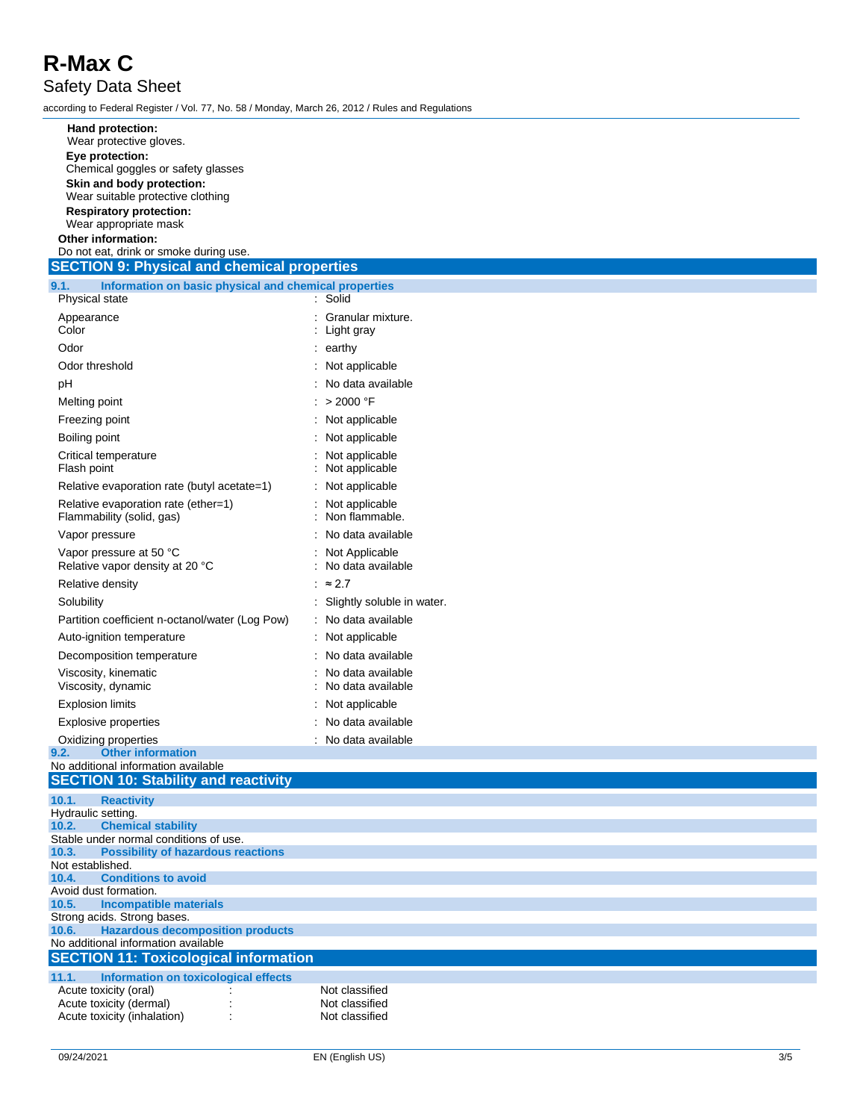Safety Data Sheet

according to Federal Register / Vol. 77, No. 58 / Monday, March 26, 2012 / Rules and Regulations

| Hand protection:                                                                             |                                          |
|----------------------------------------------------------------------------------------------|------------------------------------------|
| Wear protective gloves.<br>Eye protection:                                                   |                                          |
| Chemical goggles or safety glasses                                                           |                                          |
| Skin and body protection:                                                                    |                                          |
| Wear suitable protective clothing                                                            |                                          |
| <b>Respiratory protection:</b><br>Wear appropriate mask                                      |                                          |
| Other information:                                                                           |                                          |
| Do not eat, drink or smoke during use.                                                       |                                          |
| <b>SECTION 9: Physical and chemical properties</b>                                           |                                          |
| Information on basic physical and chemical properties<br>9.1.<br>Physical state              | : Solid                                  |
| Appearance                                                                                   | : Granular mixture.                      |
| Color                                                                                        | Light gray                               |
| Odor                                                                                         | : earthy                                 |
| Odor threshold                                                                               | : Not applicable                         |
| рH                                                                                           | : No data available                      |
| Melting point                                                                                | : > 2000 °F                              |
| Freezing point                                                                               | : Not applicable                         |
| Boiling point                                                                                | Not applicable                           |
| Critical temperature                                                                         | Not applicable                           |
| Flash point<br>Relative evaporation rate (butyl acetate=1)                                   | Not applicable<br>: Not applicable       |
| Relative evaporation rate (ether=1)                                                          | Not applicable                           |
| Flammability (solid, gas)                                                                    | Non flammable.                           |
| Vapor pressure                                                                               | No data available                        |
| Vapor pressure at 50 °C<br>Relative vapor density at 20 °C                                   | Not Applicable<br>No data available      |
| Relative density                                                                             | : $\approx 2.7$                          |
| Solubility                                                                                   | Slightly soluble in water.               |
| Partition coefficient n-octanol/water (Log Pow)                                              | No data available                        |
| Auto-ignition temperature                                                                    | : Not applicable                         |
| Decomposition temperature                                                                    | : No data available                      |
| Viscosity, kinematic<br>Viscosity, dynamic                                                   | : No data available<br>No data available |
| <b>Explosion limits</b>                                                                      | Not applicable                           |
| <b>Explosive properties</b>                                                                  | No data available                        |
| Oxidizing properties                                                                         | : No data available                      |
| 9.Z.<br><b>Other Information</b>                                                             |                                          |
| No additional information available                                                          |                                          |
| <b>SECTION 10: Stability and reactivity</b>                                                  |                                          |
| 10.1.<br><b>Reactivity</b><br>Hydraulic setting.                                             |                                          |
| 10.2.<br><b>Chemical stability</b>                                                           |                                          |
| Stable under normal conditions of use.<br>10.3.<br><b>Possibility of hazardous reactions</b> |                                          |
| Not established.                                                                             |                                          |
| <b>Conditions to avoid</b><br>10.4.                                                          |                                          |
| Avoid dust formation.<br>10.5.<br><b>Incompatible materials</b>                              |                                          |
| Strong acids. Strong bases.                                                                  |                                          |
| <b>Hazardous decomposition products</b><br>10.6.<br>No additional information available      |                                          |
| <b>SECTION 11: Toxicological information</b>                                                 |                                          |
| 11.1.<br>Information on toxicological effects                                                |                                          |
| Acute toxicity (oral)                                                                        | Not classified                           |
| Acute toxicity (dermal)                                                                      | Not classified                           |
| Acute toxicity (inhalation)                                                                  | Not classified                           |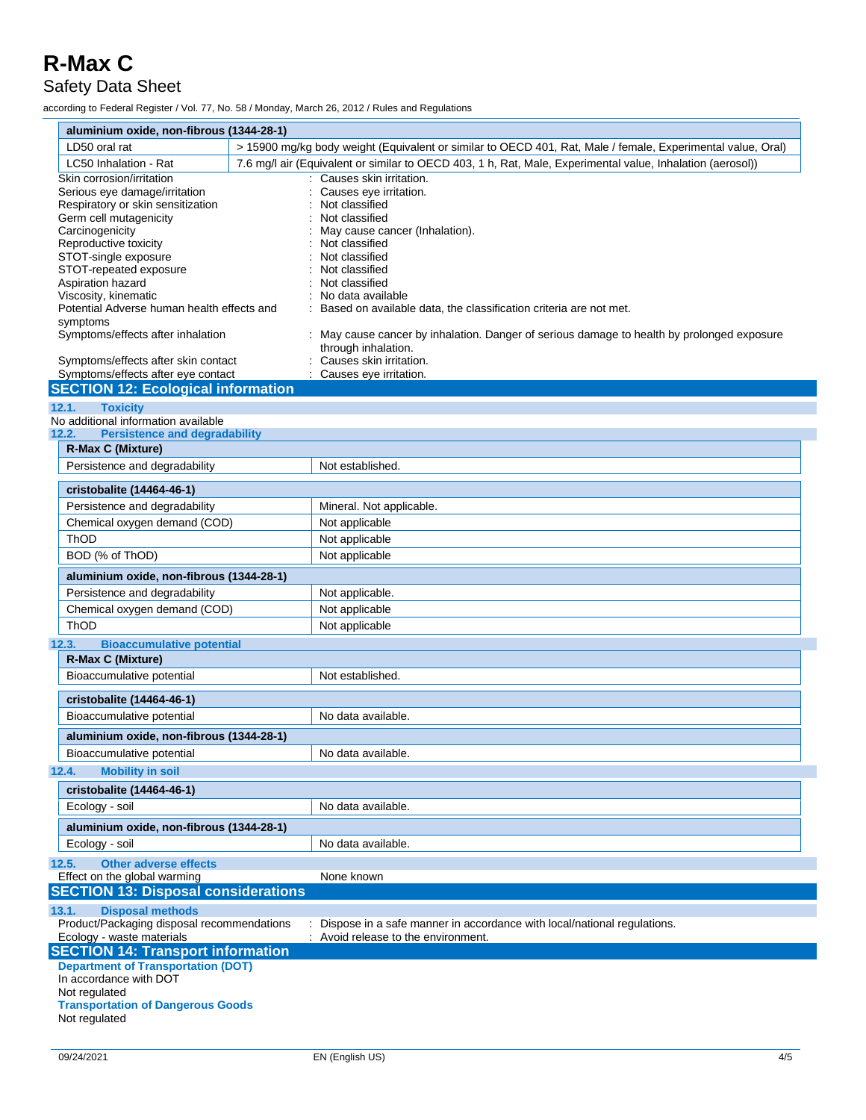#### Safety Data Sheet

according to Federal Register / Vol. 77, No. 58 / Monday, March 26, 2012 / Rules and Regulations

| aluminium oxide, non-fibrous (1344-28-1)                                                        |                                                                                                                   |  |  |  |  |
|-------------------------------------------------------------------------------------------------|-------------------------------------------------------------------------------------------------------------------|--|--|--|--|
| LD50 oral rat                                                                                   | > 15900 mg/kg body weight (Equivalent or similar to OECD 401, Rat, Male / female, Experimental value, Oral)       |  |  |  |  |
| LC50 Inhalation - Rat                                                                           | 7.6 mg/l air (Equivalent or similar to OECD 403, 1 h, Rat, Male, Experimental value, Inhalation (aerosol))        |  |  |  |  |
| Skin corrosion/irritation<br>Serious eye damage/irritation<br>Respiratory or skin sensitization | Causes skin irritation.<br>Causes eye irritation.<br>Not classified                                               |  |  |  |  |
| Germ cell mutagenicity                                                                          | Not classified                                                                                                    |  |  |  |  |
| Carcinogenicity                                                                                 | May cause cancer (Inhalation).                                                                                    |  |  |  |  |
| Reproductive toxicity<br>STOT-single exposure                                                   | Not classified<br>Not classified                                                                                  |  |  |  |  |
| STOT-repeated exposure                                                                          | Not classified                                                                                                    |  |  |  |  |
| Aspiration hazard                                                                               | Not classified                                                                                                    |  |  |  |  |
| Viscosity, kinematic                                                                            | No data available                                                                                                 |  |  |  |  |
| Potential Adverse human health effects and<br>symptoms                                          | Based on available data, the classification criteria are not met.                                                 |  |  |  |  |
| Symptoms/effects after inhalation                                                               | : May cause cancer by inhalation. Danger of serious damage to health by prolonged exposure<br>through inhalation. |  |  |  |  |
| Symptoms/effects after skin contact<br>Symptoms/effects after eye contact                       | Causes skin irritation.<br>Causes eye irritation.                                                                 |  |  |  |  |
| <b>SECTION 12: Ecological information</b>                                                       |                                                                                                                   |  |  |  |  |
| <b>Toxicity</b><br>12.1.                                                                        |                                                                                                                   |  |  |  |  |
| No additional information available                                                             |                                                                                                                   |  |  |  |  |
| <b>Persistence and degradability</b><br>12.2.                                                   |                                                                                                                   |  |  |  |  |
| <b>R-Max C (Mixture)</b>                                                                        |                                                                                                                   |  |  |  |  |
| Persistence and degradability                                                                   | Not established.                                                                                                  |  |  |  |  |
| cristobalite (14464-46-1)                                                                       |                                                                                                                   |  |  |  |  |
| Persistence and degradability                                                                   | Mineral. Not applicable.                                                                                          |  |  |  |  |
| Chemical oxygen demand (COD)                                                                    | Not applicable                                                                                                    |  |  |  |  |
| ThOD                                                                                            | Not applicable                                                                                                    |  |  |  |  |
| BOD (% of ThOD)                                                                                 | Not applicable                                                                                                    |  |  |  |  |
| aluminium oxide, non-fibrous (1344-28-1)                                                        |                                                                                                                   |  |  |  |  |
| Persistence and degradability                                                                   | Not applicable.                                                                                                   |  |  |  |  |
| Chemical oxygen demand (COD)                                                                    | Not applicable                                                                                                    |  |  |  |  |
| ThOD                                                                                            | Not applicable                                                                                                    |  |  |  |  |
| <b>Bioaccumulative potential</b><br>12.3.                                                       |                                                                                                                   |  |  |  |  |
| <b>R-Max C (Mixture)</b>                                                                        |                                                                                                                   |  |  |  |  |
| Bioaccumulative potential                                                                       | Not established.                                                                                                  |  |  |  |  |
| cristobalite (14464-46-1)                                                                       |                                                                                                                   |  |  |  |  |
| Bioaccumulative potential                                                                       | No data available.                                                                                                |  |  |  |  |
| aluminium oxide, non-fibrous (1344-28-1)                                                        |                                                                                                                   |  |  |  |  |
| Bioaccumulative potential                                                                       | No data available.                                                                                                |  |  |  |  |
| 12.4.<br><b>Mobility in soil</b>                                                                |                                                                                                                   |  |  |  |  |
| cristobalite (14464-46-1)                                                                       |                                                                                                                   |  |  |  |  |
| Ecology - soil                                                                                  | No data available.                                                                                                |  |  |  |  |
| aluminium oxide, non-fibrous (1344-28-1)                                                        |                                                                                                                   |  |  |  |  |
| Ecology - soil                                                                                  | No data available.                                                                                                |  |  |  |  |
| <b>Other adverse effects</b><br>12.5.                                                           |                                                                                                                   |  |  |  |  |
| Effect on the global warming                                                                    | None known                                                                                                        |  |  |  |  |
| <b>SECTION 13: Disposal considerations</b>                                                      |                                                                                                                   |  |  |  |  |
| <b>Disposal methods</b><br>13.1.                                                                |                                                                                                                   |  |  |  |  |
| Product/Packaging disposal recommendations<br>Ecology - waste materials                         | Dispose in a safe manner in accordance with local/national regulations.<br>Avoid release to the environment.      |  |  |  |  |
| <b>SECTION 14: Transport information</b>                                                        |                                                                                                                   |  |  |  |  |
| <b>Department of Transportation (DOT)</b>                                                       |                                                                                                                   |  |  |  |  |
| In accordance with DOT                                                                          |                                                                                                                   |  |  |  |  |
| Not regulated<br><b>Transportation of Dangerous Goods</b>                                       |                                                                                                                   |  |  |  |  |
| Not regulated                                                                                   |                                                                                                                   |  |  |  |  |